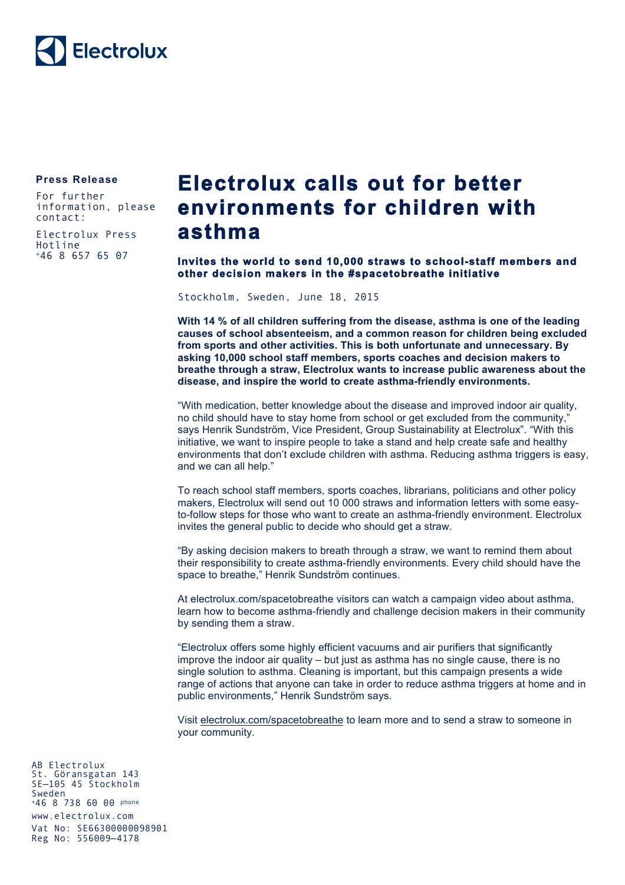

## **Press Release**

For further information, please contact:

Electrolux Press Hotline +46 8 657 65 07

## **Electrolux calls out for better environments for children with asthma**

## **Invites the world to send 10,000 straws to school-staff members and other decision makers in the #spacetobreathe initiative**

Stockholm, Sweden, June 18, 2015

**With 14 % of all children suffering from the disease, asthma is one of the leading causes of school absenteeism, and a common reason for children being excluded from sports and other activities. This is both unfortunate and unnecessary. By asking 10,000 school staff members, sports coaches and decision makers to breathe through a straw, Electrolux wants to increase public awareness about the disease, and inspire the world to create asthma-friendly environments.**

"With medication, better knowledge about the disease and improved indoor air quality, no child should have to stay home from school or get excluded from the community," says Henrik Sundström, Vice President, Group Sustainability at Electrolux". "With this initiative, we want to inspire people to take a stand and help create safe and healthy environments that don't exclude children with asthma. Reducing asthma triggers is easy, and we can all help."

To reach school staff members, sports coaches, librarians, politicians and other policy makers, Electrolux will send out 10 000 straws and information letters with some easyto-follow steps for those who want to create an asthma-friendly environment. Electrolux invites the general public to decide who should get a straw.

"By asking decision makers to breath through a straw, we want to remind them about their responsibility to create asthma-friendly environments. Every child should have the space to breathe," Henrik Sundström continues.

At electrolux.com/spacetobreathe visitors can watch a campaign video about asthma, learn how to become asthma-friendly and challenge decision makers in their community by sending them a straw.

"Electrolux offers some highly efficient vacuums and air purifiers that significantly improve the indoor air quality – but just as asthma has no single cause, there is no single solution to asthma. Cleaning is important, but this campaign presents a wide range of actions that anyone can take in order to reduce asthma triggers at home and in public environments," Henrik Sundström says.

Visit electrolux.com/spacetobreathe to learn more and to send a straw to someone in your community.

AB Electrolux St. Göransgatan 143 SE—105 45 Stockholm Sweden +46 8 738 60 00 phone www.electrolux.com Vat No: SE66300000098901 Reg No: 556009—4178